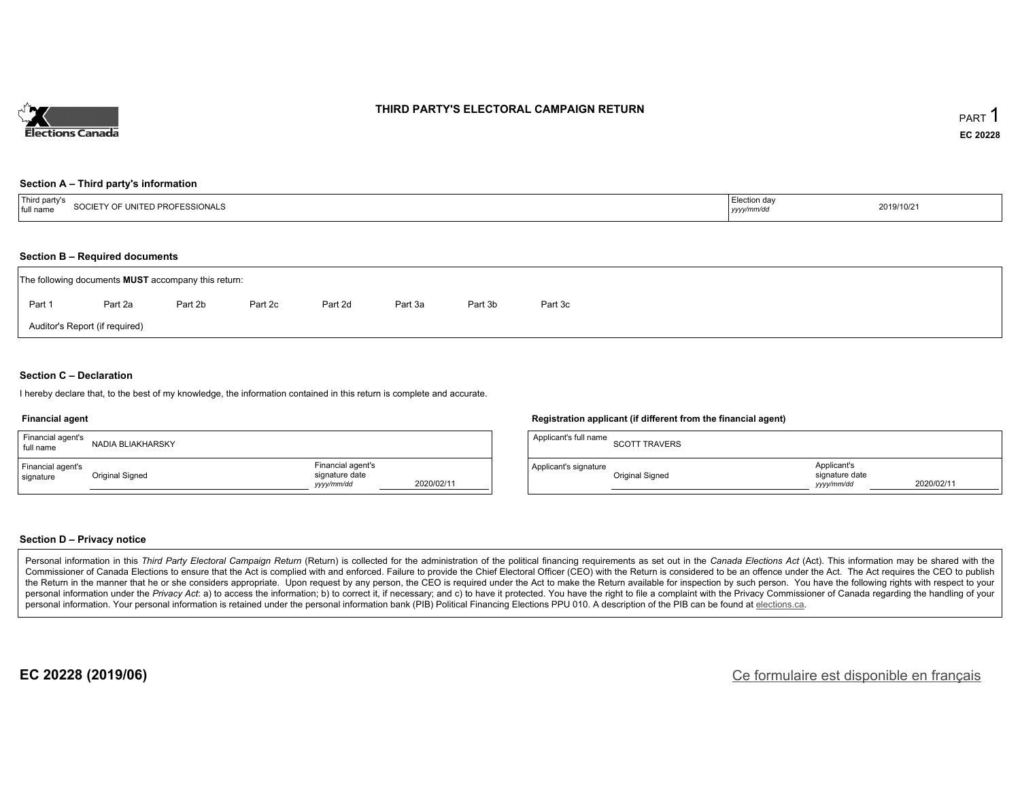

### **THIRD PARTY'S ELECTORAL CAMPAIGN RETURN**

#### **Section A – Third party's information**

| i mutaali<br>urd nart.<br>" UNITED PROFESSIONALS<br>full<br>name | Election day<br><u>үууу</u> | 2019/10/21 |
|------------------------------------------------------------------|-----------------------------|------------|
|------------------------------------------------------------------|-----------------------------|------------|

#### **Section B – Required documents**

|                                | The following documents <b>MUST</b> accompany this return: |         |         |         |         |         |         |  |  |  |  |  |
|--------------------------------|------------------------------------------------------------|---------|---------|---------|---------|---------|---------|--|--|--|--|--|
| Part 1                         | Part 2a                                                    | Part 2b | Part 2c | Part 2d | Part 3a | Part 3b | Part 3c |  |  |  |  |  |
| Auditor's Report (if required) |                                                            |         |         |         |         |         |         |  |  |  |  |  |

#### **Section C – Declaration**

I hereby declare that, to the best of my knowledge, the information contained in this return is complete and accurate.

#### **Financial agent**

| Financial agent's<br>full name | NADIA BLIAKHARSKY      |                                                                 | Applicant's full name<br><b>SCOTT TRAVERS</b> |                                             |            |
|--------------------------------|------------------------|-----------------------------------------------------------------|-----------------------------------------------|---------------------------------------------|------------|
| Financial agent's<br>signature | <b>Original Signed</b> | Financial agent's<br>signature date<br>2020/02/11<br>yyyy/mm/dd | Applicant's signature<br>Original Signed      | Applicant's<br>signature date<br>yyyy/mm/dd | 2020/02/11 |

#### **Section D – Privacy notice**

Personal information in this Third Party Electoral Campaign Return (Return) is collected for the administration of the political financing requirements as set out in the Canada Elections Act (Act). This information may be Commissioner of Canada Elections to ensure that the Act is complied with and enforced. Failure to provide the Chief Electoral Officer (CEO) with the Return is considered to be an offence under the Act. The Act requires the the Return in the manner that he or she considers appropriate. Upon request by any person, the CEO is required under the Act to make the Return available for inspection by such person. You have the following rights with re personal information under the Privacy Act: a) to access the information; b) to correct it, if necessary; and c) to have it protected. You have the right to file a complaint with the Privacy Commissioner of Canada regardin personal information. Your personal information is retained under the personal information bank (PIB) Political Financing Elections PPU 010. A description of the PIB can be found at elections.ca.

**Registration applicant (if different from the financial agent)**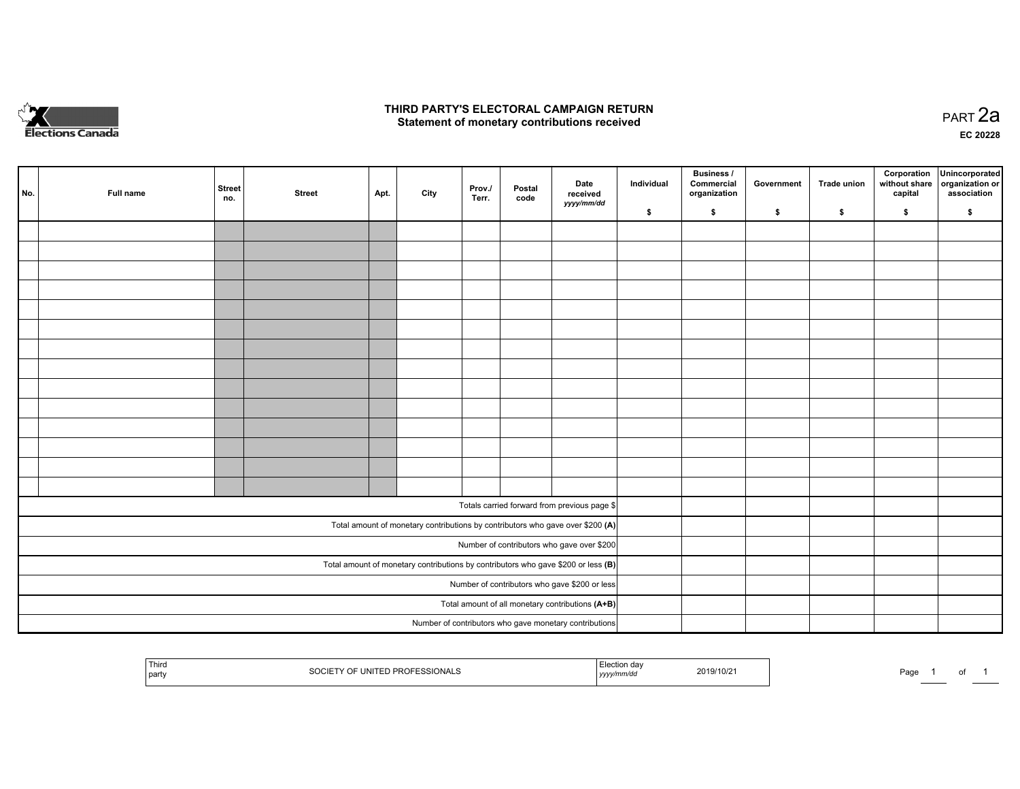

### **THIRD PARTY'S ELECTORAL CAMPAIGN RETURN HIRD PARTY'S ELECTORAL CAMPAIGN RETURN<br>Statement of monetary contributions received PART 2a PART 2a**

**EC 20228**

|                                                                                     | No. | Full name | <b>Street</b><br>no. | <b>Street</b> | Apt. | City | Prov./<br>Terr. | Postal<br>code | Date<br>received<br>yyyy/mm/dd                         | Individual | Business /<br>Commercial<br>organization | Government | Trade union | Corporation<br>without share<br>capital | Unincorporated<br>organization or<br>association |
|-------------------------------------------------------------------------------------|-----|-----------|----------------------|---------------|------|------|-----------------|----------------|--------------------------------------------------------|------------|------------------------------------------|------------|-------------|-----------------------------------------|--------------------------------------------------|
|                                                                                     |     |           |                      |               |      |      |                 |                |                                                        | \$         | \$                                       | \$         | \$          | \$                                      | \$                                               |
|                                                                                     |     |           |                      |               |      |      |                 |                |                                                        |            |                                          |            |             |                                         |                                                  |
|                                                                                     |     |           |                      |               |      |      |                 |                |                                                        |            |                                          |            |             |                                         |                                                  |
|                                                                                     |     |           |                      |               |      |      |                 |                |                                                        |            |                                          |            |             |                                         |                                                  |
|                                                                                     |     |           |                      |               |      |      |                 |                |                                                        |            |                                          |            |             |                                         |                                                  |
|                                                                                     |     |           |                      |               |      |      |                 |                |                                                        |            |                                          |            |             |                                         |                                                  |
|                                                                                     |     |           |                      |               |      |      |                 |                |                                                        |            |                                          |            |             |                                         |                                                  |
|                                                                                     |     |           |                      |               |      |      |                 |                |                                                        |            |                                          |            |             |                                         |                                                  |
|                                                                                     |     |           |                      |               |      |      |                 |                |                                                        |            |                                          |            |             |                                         |                                                  |
|                                                                                     |     |           |                      |               |      |      |                 |                |                                                        |            |                                          |            |             |                                         |                                                  |
|                                                                                     |     |           |                      |               |      |      |                 |                |                                                        |            |                                          |            |             |                                         |                                                  |
|                                                                                     |     |           |                      |               |      |      |                 |                |                                                        |            |                                          |            |             |                                         |                                                  |
|                                                                                     |     |           |                      |               |      |      |                 |                |                                                        |            |                                          |            |             |                                         |                                                  |
|                                                                                     |     |           |                      |               |      |      |                 |                |                                                        |            |                                          |            |             |                                         |                                                  |
|                                                                                     |     |           |                      |               |      |      |                 |                |                                                        |            |                                          |            |             |                                         |                                                  |
|                                                                                     |     |           |                      |               |      |      |                 |                |                                                        |            |                                          |            |             |                                         |                                                  |
|                                                                                     |     |           |                      |               |      |      |                 |                | Totals carried forward from previous page \$           |            |                                          |            |             |                                         |                                                  |
| Total amount of monetary contributions by contributors who gave over \$200 (A)      |     |           |                      |               |      |      |                 |                |                                                        |            |                                          |            |             |                                         |                                                  |
| Number of contributors who gave over \$200                                          |     |           |                      |               |      |      |                 |                |                                                        |            |                                          |            |             |                                         |                                                  |
| Total amount of monetary contributions by contributors who gave \$200 or less $(B)$ |     |           |                      |               |      |      |                 |                |                                                        |            |                                          |            |             |                                         |                                                  |
| Number of contributors who gave \$200 or less                                       |     |           |                      |               |      |      |                 |                |                                                        |            |                                          |            |             |                                         |                                                  |
| Total amount of all monetary contributions (A+B)                                    |     |           |                      |               |      |      |                 |                |                                                        |            |                                          |            |             |                                         |                                                  |
|                                                                                     |     |           |                      |               |      |      |                 |                | Number of contributors who gave monetary contributions |            |                                          |            |             |                                         |                                                  |

| Third<br>  party | <b>PRIONALL</b><br>JNHF1<br>PRU<br>ovu<br>$\sim$ | $\sim$<br>амил ча<br>™mm⁄au<br>, уууулг | 2019/10/2 | Page |  |  |  |
|------------------|--------------------------------------------------|-----------------------------------------|-----------|------|--|--|--|
|------------------|--------------------------------------------------|-----------------------------------------|-----------|------|--|--|--|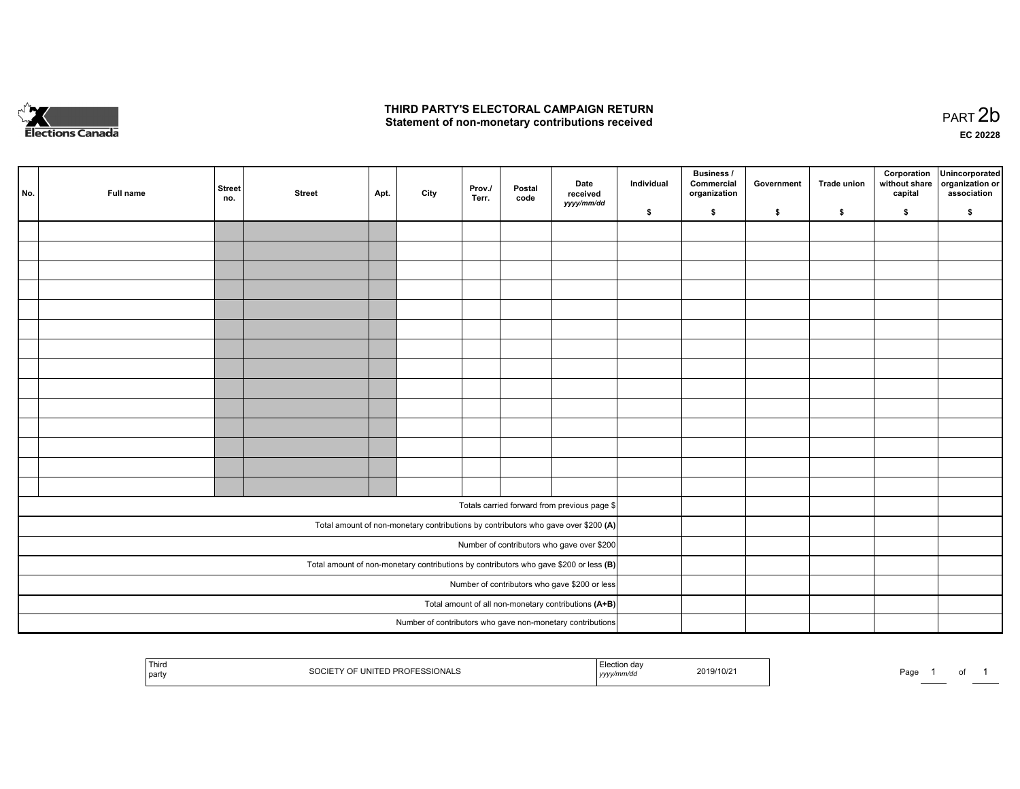

## **THIRD PARTY'S ELECTORAL CAMPAIGN RETURN**  THIRD PARTY'S ELECTORAL CAMPAIGN RETURN<br>Statement of non-monetary contributions received

of 1

|                                                                                         | No. | Full name | <b>Street</b><br>no. | <b>Street</b> | Apt.                                                 | City | Prov./<br>Terr. | Postal<br>code | Date<br>received<br>yyyy/mm/dd                                                     | Individual | <b>Business /</b><br>Commercial<br>organization | Government | Trade union | Corporation<br>without share<br>capital | Unincorporated<br>organization or<br>association |
|-----------------------------------------------------------------------------------------|-----|-----------|----------------------|---------------|------------------------------------------------------|------|-----------------|----------------|------------------------------------------------------------------------------------|------------|-------------------------------------------------|------------|-------------|-----------------------------------------|--------------------------------------------------|
|                                                                                         |     |           |                      |               |                                                      |      |                 |                |                                                                                    | \$         | \$                                              | \$         | \$          | \$                                      | \$                                               |
|                                                                                         |     |           |                      |               |                                                      |      |                 |                |                                                                                    |            |                                                 |            |             |                                         |                                                  |
|                                                                                         |     |           |                      |               |                                                      |      |                 |                |                                                                                    |            |                                                 |            |             |                                         |                                                  |
|                                                                                         |     |           |                      |               |                                                      |      |                 |                |                                                                                    |            |                                                 |            |             |                                         |                                                  |
|                                                                                         |     |           |                      |               |                                                      |      |                 |                |                                                                                    |            |                                                 |            |             |                                         |                                                  |
|                                                                                         |     |           |                      |               |                                                      |      |                 |                |                                                                                    |            |                                                 |            |             |                                         |                                                  |
|                                                                                         |     |           |                      |               |                                                      |      |                 |                |                                                                                    |            |                                                 |            |             |                                         |                                                  |
|                                                                                         |     |           |                      |               |                                                      |      |                 |                |                                                                                    |            |                                                 |            |             |                                         |                                                  |
|                                                                                         |     |           |                      |               |                                                      |      |                 |                |                                                                                    |            |                                                 |            |             |                                         |                                                  |
|                                                                                         |     |           |                      |               |                                                      |      |                 |                |                                                                                    |            |                                                 |            |             |                                         |                                                  |
|                                                                                         |     |           |                      |               |                                                      |      |                 |                |                                                                                    |            |                                                 |            |             |                                         |                                                  |
|                                                                                         |     |           |                      |               |                                                      |      |                 |                |                                                                                    |            |                                                 |            |             |                                         |                                                  |
|                                                                                         |     |           |                      |               |                                                      |      |                 |                |                                                                                    |            |                                                 |            |             |                                         |                                                  |
|                                                                                         |     |           |                      |               |                                                      |      |                 |                |                                                                                    |            |                                                 |            |             |                                         |                                                  |
|                                                                                         |     |           |                      |               |                                                      |      |                 |                |                                                                                    |            |                                                 |            |             |                                         |                                                  |
|                                                                                         |     |           |                      |               |                                                      |      |                 |                |                                                                                    |            |                                                 |            |             |                                         |                                                  |
|                                                                                         |     |           |                      |               |                                                      |      |                 |                | Totals carried forward from previous page \$                                       |            |                                                 |            |             |                                         |                                                  |
|                                                                                         |     |           |                      |               |                                                      |      |                 |                | Total amount of non-monetary contributions by contributors who gave over \$200 (A) |            |                                                 |            |             |                                         |                                                  |
| Number of contributors who gave over \$200                                              |     |           |                      |               |                                                      |      |                 |                |                                                                                    |            |                                                 |            |             |                                         |                                                  |
| Total amount of non-monetary contributions by contributors who gave \$200 or less $(B)$ |     |           |                      |               |                                                      |      |                 |                |                                                                                    |            |                                                 |            |             |                                         |                                                  |
|                                                                                         |     |           |                      |               | Number of contributors who gave \$200 or less        |      |                 |                |                                                                                    |            |                                                 |            |             |                                         |                                                  |
|                                                                                         |     |           |                      |               | Total amount of all non-monetary contributions (A+B) |      |                 |                |                                                                                    |            |                                                 |            |             |                                         |                                                  |
|                                                                                         |     |           |                      |               |                                                      |      |                 |                | Number of contributors who gave non-monetary contributions                         |            |                                                 |            |             |                                         |                                                  |
|                                                                                         |     |           |                      |               |                                                      |      |                 |                |                                                                                    |            |                                                 |            |             |                                         |                                                  |

| Third<br>$H$ $H$<br>UNIF<br>JNAI<br>コレハコ<br>par | <b>Election</b><br>da∖<br>2019/10/21<br>, yyyymmaa | Pag⊾ |
|-------------------------------------------------|----------------------------------------------------|------|
|-------------------------------------------------|----------------------------------------------------|------|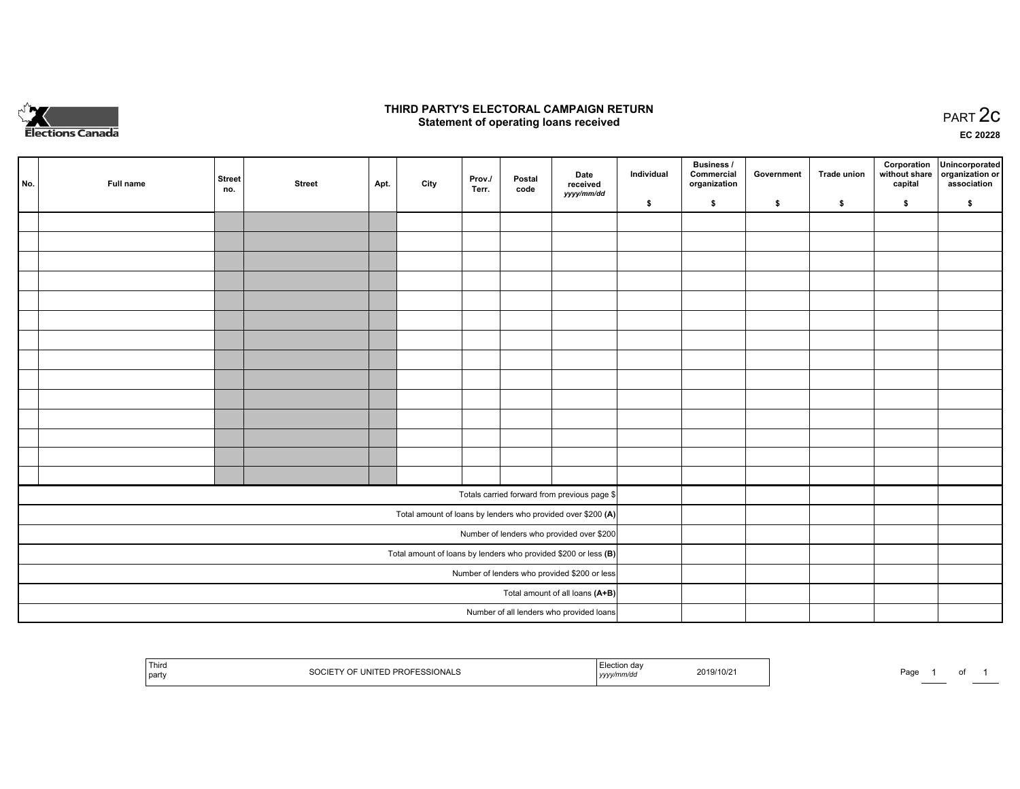

## **THIRD PARTY'S ELECTORAL CAMPAIGN RETURN STATE:** PRACT OF OPPRESS TO PART 2C STATE STATE STATE STATE STATE STATE STATE STATE STATE STATE STATE STATE STA<br>PART 2C Statement of operating loans received

**EC 20228**

|                                                                 | No. | Full name | <b>Street</b><br>no. | <b>Street</b> | Apt. | City | Prov./<br>Terr. | Postal<br>code | Date<br>received                                             | Individual | <b>Business /</b><br>Commercial<br>organization | Government | <b>Trade union</b> | Corporation<br>capital | Unincorporated<br>without share   organization or<br>association |
|-----------------------------------------------------------------|-----|-----------|----------------------|---------------|------|------|-----------------|----------------|--------------------------------------------------------------|------------|-------------------------------------------------|------------|--------------------|------------------------|------------------------------------------------------------------|
|                                                                 |     |           |                      |               |      |      |                 |                | yyyy/mm/dd                                                   | \$         | \$                                              | \$         | \$                 | \$                     | \$                                                               |
|                                                                 |     |           |                      |               |      |      |                 |                |                                                              |            |                                                 |            |                    |                        |                                                                  |
|                                                                 |     |           |                      |               |      |      |                 |                |                                                              |            |                                                 |            |                    |                        |                                                                  |
|                                                                 |     |           |                      |               |      |      |                 |                |                                                              |            |                                                 |            |                    |                        |                                                                  |
|                                                                 |     |           |                      |               |      |      |                 |                |                                                              |            |                                                 |            |                    |                        |                                                                  |
|                                                                 |     |           |                      |               |      |      |                 |                |                                                              |            |                                                 |            |                    |                        |                                                                  |
|                                                                 |     |           |                      |               |      |      |                 |                |                                                              |            |                                                 |            |                    |                        |                                                                  |
|                                                                 |     |           |                      |               |      |      |                 |                |                                                              |            |                                                 |            |                    |                        |                                                                  |
|                                                                 |     |           |                      |               |      |      |                 |                |                                                              |            |                                                 |            |                    |                        |                                                                  |
|                                                                 |     |           |                      |               |      |      |                 |                |                                                              |            |                                                 |            |                    |                        |                                                                  |
|                                                                 |     |           |                      |               |      |      |                 |                |                                                              |            |                                                 |            |                    |                        |                                                                  |
|                                                                 |     |           |                      |               |      |      |                 |                |                                                              |            |                                                 |            |                    |                        |                                                                  |
|                                                                 |     |           |                      |               |      |      |                 |                |                                                              |            |                                                 |            |                    |                        |                                                                  |
|                                                                 |     |           |                      |               |      |      |                 |                |                                                              |            |                                                 |            |                    |                        |                                                                  |
|                                                                 |     |           |                      |               |      |      |                 |                |                                                              |            |                                                 |            |                    |                        |                                                                  |
|                                                                 |     |           |                      |               |      |      |                 |                | Totals carried forward from previous page \$                 |            |                                                 |            |                    |                        |                                                                  |
|                                                                 |     |           |                      |               |      |      |                 |                | Total amount of loans by lenders who provided over \$200 (A) |            |                                                 |            |                    |                        |                                                                  |
| Number of lenders who provided over \$200                       |     |           |                      |               |      |      |                 |                |                                                              |            |                                                 |            |                    |                        |                                                                  |
| Total amount of loans by lenders who provided \$200 or less (B) |     |           |                      |               |      |      |                 |                |                                                              |            |                                                 |            |                    |                        |                                                                  |
| Number of lenders who provided \$200 or less                    |     |           |                      |               |      |      |                 |                |                                                              |            |                                                 |            |                    |                        |                                                                  |
| Total amount of all loans (A+B)                                 |     |           |                      |               |      |      |                 |                |                                                              |            |                                                 |            |                    |                        |                                                                  |
|                                                                 |     |           |                      |               |      |      |                 |                | Number of all lenders who provided loans                     |            |                                                 |            |                    |                        |                                                                  |

| 1 MILO<br>ONALS<br>JNITE'<br>` PRI.<br>part<br>JUU' | 2019/10/21<br>''mm/au<br>,,,,, | Page |
|-----------------------------------------------------|--------------------------------|------|
|-----------------------------------------------------|--------------------------------|------|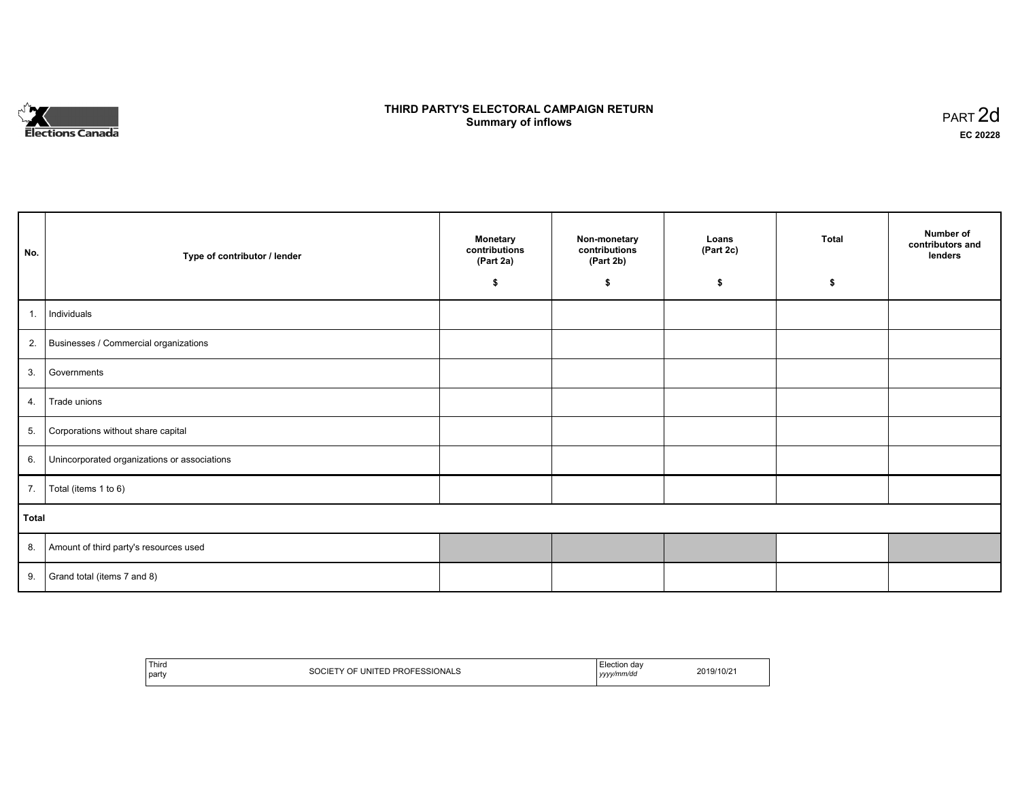

# **THIRD PARTY'S ELECTORAL CAMPAIGN RETURN S** ELECTORAL CAMPAIGN RETURN<br>Summary of inflows PART 2d

٦

| No.   | Type of contributor / lender                    | <b>Monetary</b><br>contributions<br>(Part 2a) | Non-monetary<br>contributions<br>(Part 2b) | Loans<br>(Part 2c) | <b>Total</b> | Number of<br>contributors and<br>lenders |
|-------|-------------------------------------------------|-----------------------------------------------|--------------------------------------------|--------------------|--------------|------------------------------------------|
|       |                                                 | \$                                            | \$                                         | \$                 | \$           |                                          |
| 1.    | Individuals                                     |                                               |                                            |                    |              |                                          |
|       | 2. Businesses / Commercial organizations        |                                               |                                            |                    |              |                                          |
| 3.    | Governments                                     |                                               |                                            |                    |              |                                          |
|       | 4. Trade unions                                 |                                               |                                            |                    |              |                                          |
| 5.    | Corporations without share capital              |                                               |                                            |                    |              |                                          |
|       | 6. Unincorporated organizations or associations |                                               |                                            |                    |              |                                          |
|       | 7.   Total (items 1 to 6)                       |                                               |                                            |                    |              |                                          |
| Total |                                                 |                                               |                                            |                    |              |                                          |
|       | 8. Amount of third party's resources used       |                                               |                                            |                    |              |                                          |
|       | 9. Grand total (items $7$ and $8$ )             |                                               |                                            |                    |              |                                          |

| Third | OF UNITED PROFESSIONALS | Hection day | 2019/10/21 |
|-------|-------------------------|-------------|------------|
|       | 0001F                   | .           |            |
| party | OUUIE                   | yyyy/mm/dd  |            |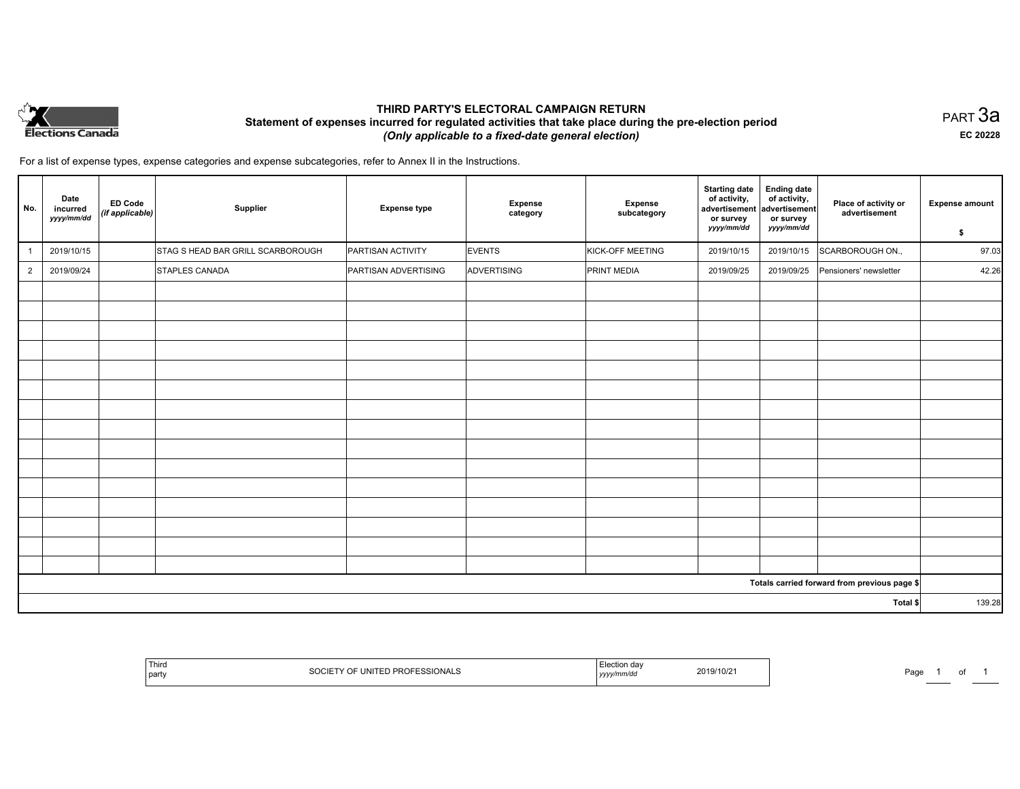

## **THIRD PARTY'S ELECTORAL CAMPAIGN RETURN Statement of expenses incurred for regulated activities that take place during the pre-election period**  *(Only applicable to a fixed-date general election)*

PART 3a **EC 20228**

For a list of expense types, expense categories and expense subcategories, refer to Annex II in the Instructions.

| No.            | Date<br>incurred<br>yyyy/mm/dd | <b>ED Code</b><br>(if applicable) | Supplier                          | <b>Expense type</b>  | <b>Expense</b><br>category | Expense<br>subcategory | <b>Starting date</b><br>of activity,<br>advertisement<br>or survey<br>yyyy/mm/dd | <b>Ending date</b><br>of activity,<br>advertisement<br>or survey<br>yyyy/mm/dd | Place of activity or<br>advertisement        | <b>Expense amount</b><br>\$ |  |  |
|----------------|--------------------------------|-----------------------------------|-----------------------------------|----------------------|----------------------------|------------------------|----------------------------------------------------------------------------------|--------------------------------------------------------------------------------|----------------------------------------------|-----------------------------|--|--|
|                | 2019/10/15                     |                                   | STAG S HEAD BAR GRILL SCARBOROUGH | PARTISAN ACTIVITY    | <b>EVENTS</b>              | KICK-OFF MEETING       | 2019/10/15                                                                       | 2019/10/15                                                                     | SCARBOROUGH ON.,                             | 97.03                       |  |  |
| $\overline{2}$ | 2019/09/24                     |                                   | STAPLES CANADA                    | PARTISAN ADVERTISING | ADVERTISING                | PRINT MEDIA            | 2019/09/25                                                                       | 2019/09/25                                                                     | Pensioners' newsletter                       | 42.26                       |  |  |
|                |                                |                                   |                                   |                      |                            |                        |                                                                                  |                                                                                |                                              |                             |  |  |
|                |                                |                                   |                                   |                      |                            |                        |                                                                                  |                                                                                |                                              |                             |  |  |
|                |                                |                                   |                                   |                      |                            |                        |                                                                                  |                                                                                |                                              |                             |  |  |
|                |                                |                                   |                                   |                      |                            |                        |                                                                                  |                                                                                |                                              |                             |  |  |
|                |                                |                                   |                                   |                      |                            |                        |                                                                                  |                                                                                |                                              |                             |  |  |
|                |                                |                                   |                                   |                      |                            |                        |                                                                                  |                                                                                |                                              |                             |  |  |
|                |                                |                                   |                                   |                      |                            |                        |                                                                                  |                                                                                |                                              |                             |  |  |
|                |                                |                                   |                                   |                      |                            |                        |                                                                                  |                                                                                |                                              |                             |  |  |
|                |                                |                                   |                                   |                      |                            |                        |                                                                                  |                                                                                |                                              |                             |  |  |
|                |                                |                                   |                                   |                      |                            |                        |                                                                                  |                                                                                |                                              |                             |  |  |
|                |                                |                                   |                                   |                      |                            |                        |                                                                                  |                                                                                |                                              |                             |  |  |
|                |                                |                                   |                                   |                      |                            |                        |                                                                                  |                                                                                |                                              |                             |  |  |
|                |                                |                                   |                                   |                      |                            |                        |                                                                                  |                                                                                |                                              |                             |  |  |
|                |                                |                                   |                                   |                      |                            |                        |                                                                                  |                                                                                |                                              |                             |  |  |
|                |                                |                                   |                                   |                      |                            |                        |                                                                                  |                                                                                |                                              |                             |  |  |
|                |                                |                                   |                                   |                      |                            |                        |                                                                                  |                                                                                | Totals carried forward from previous page \$ | 139.28                      |  |  |
|                | Total \$                       |                                   |                                   |                      |                            |                        |                                                                                  |                                                                                |                                              |                             |  |  |

| l Third<br>' party | <b>ESSIONAL</b><br>JNIT'<br>، ب ب<br>r.<br>,,,,, | ነ በሬ<br>2019/10/2<br>. | Page<br>. |
|--------------------|--------------------------------------------------|------------------------|-----------|
|--------------------|--------------------------------------------------|------------------------|-----------|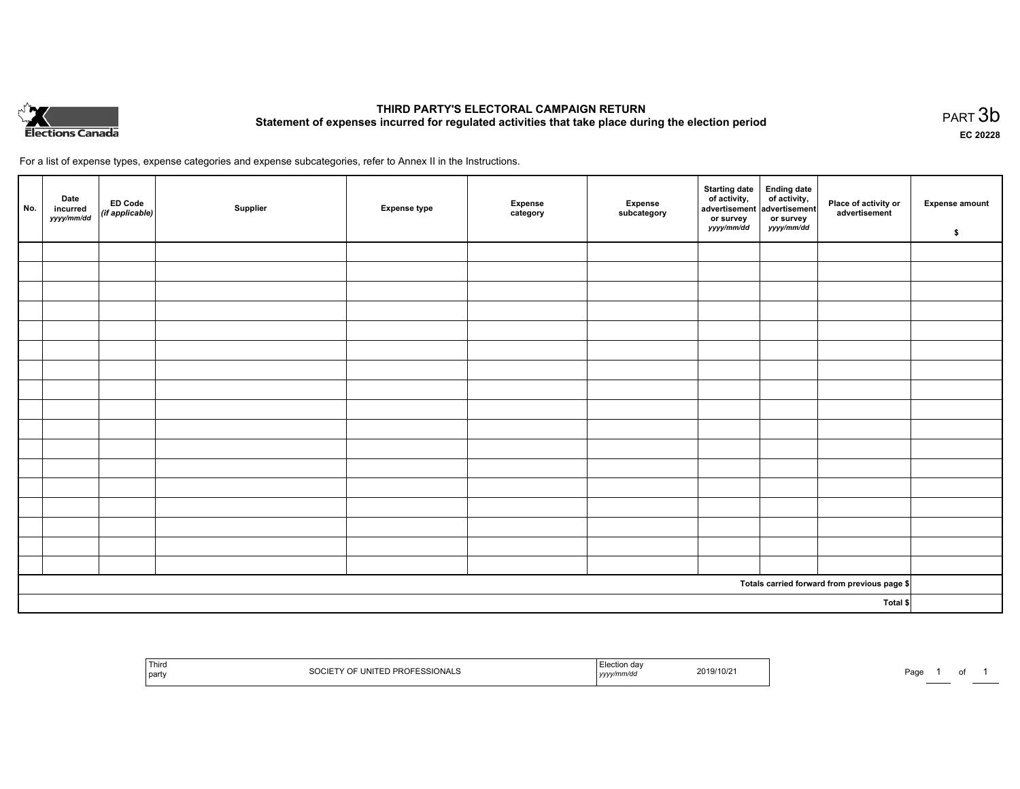

# **THIRD PARTY'S ELECTORAL CAMPAIGN RETURN Statement of expenses incurred for regulated activities that take place during the election period**<br>PART  $3b$

**EC 20228**

For a list of expense types, expense categories and expense subcategories, refer to Annex II in the Instructions.

| No.      | Date<br>incurred<br>yyyy/mm/dd | ED Code<br>(if applicable) | Supplier | <b>Expense type</b> | Expense<br>category | Expense<br>subcategory | Starting date Ending date<br>of activity, of activity,<br>advertisement advertisement<br>or survey<br>yyyy/mm/dd | or survey<br>yyyy/mm/dd | Place of activity or<br>advertisement        | <b>Expense amount</b><br>\$ |
|----------|--------------------------------|----------------------------|----------|---------------------|---------------------|------------------------|------------------------------------------------------------------------------------------------------------------|-------------------------|----------------------------------------------|-----------------------------|
|          |                                |                            |          |                     |                     |                        |                                                                                                                  |                         |                                              |                             |
|          |                                |                            |          |                     |                     |                        |                                                                                                                  |                         |                                              |                             |
|          |                                |                            |          |                     |                     |                        |                                                                                                                  |                         |                                              |                             |
|          |                                |                            |          |                     |                     |                        |                                                                                                                  |                         |                                              |                             |
|          |                                |                            |          |                     |                     |                        |                                                                                                                  |                         |                                              |                             |
|          |                                |                            |          |                     |                     |                        |                                                                                                                  |                         |                                              |                             |
|          |                                |                            |          |                     |                     |                        |                                                                                                                  |                         |                                              |                             |
|          |                                |                            |          |                     |                     |                        |                                                                                                                  |                         |                                              |                             |
|          |                                |                            |          |                     |                     |                        |                                                                                                                  |                         |                                              |                             |
|          |                                |                            |          |                     |                     |                        |                                                                                                                  |                         |                                              |                             |
|          |                                |                            |          |                     |                     |                        |                                                                                                                  |                         |                                              |                             |
|          |                                |                            |          |                     |                     |                        |                                                                                                                  |                         |                                              |                             |
|          |                                |                            |          |                     |                     |                        |                                                                                                                  |                         |                                              |                             |
|          |                                |                            |          |                     |                     |                        |                                                                                                                  |                         |                                              |                             |
|          |                                |                            |          |                     |                     |                        |                                                                                                                  |                         |                                              |                             |
|          |                                |                            |          |                     |                     |                        |                                                                                                                  |                         |                                              |                             |
|          |                                |                            |          |                     |                     |                        |                                                                                                                  |                         |                                              |                             |
|          |                                |                            |          |                     |                     |                        |                                                                                                                  |                         | Totals carried forward from previous page \$ |                             |
| Total \$ |                                |                            |          |                     |                     |                        |                                                                                                                  |                         |                                              |                             |

| ' Thira<br>l party | SSIONAL,<br>. | uc<br>,,,,, | 2019/10/21 | Page | . |
|--------------------|---------------|-------------|------------|------|---|
|--------------------|---------------|-------------|------------|------|---|